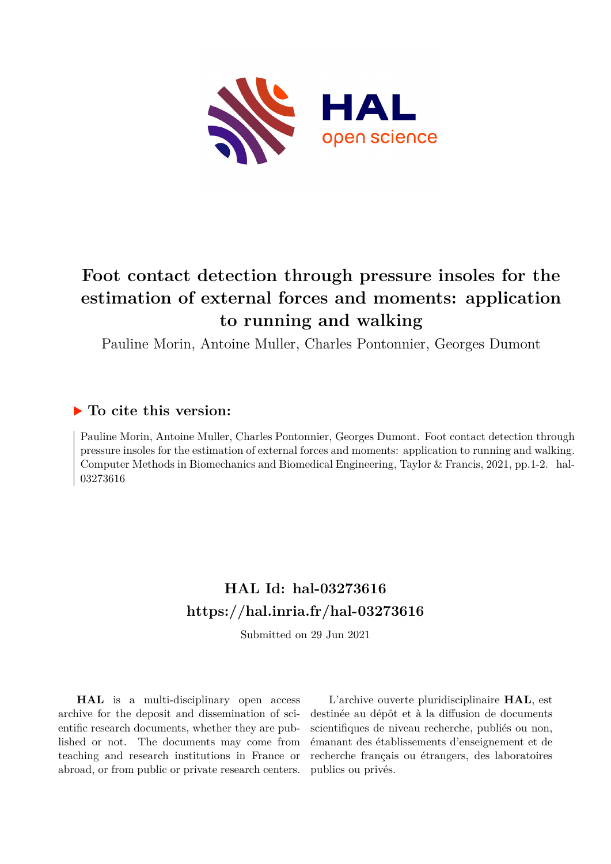

# **Foot contact detection through pressure insoles for the estimation of external forces and moments: application to running and walking**

Pauline Morin, Antoine Muller, Charles Pontonnier, Georges Dumont

# **To cite this version:**

Pauline Morin, Antoine Muller, Charles Pontonnier, Georges Dumont. Foot contact detection through pressure insoles for the estimation of external forces and moments: application to running and walking. Computer Methods in Biomechanics and Biomedical Engineering, Taylor & Francis, 2021, pp.1-2. hal-03273616

# **HAL Id: hal-03273616 <https://hal.inria.fr/hal-03273616>**

Submitted on 29 Jun 2021

**HAL** is a multi-disciplinary open access archive for the deposit and dissemination of scientific research documents, whether they are published or not. The documents may come from teaching and research institutions in France or abroad, or from public or private research centers.

L'archive ouverte pluridisciplinaire **HAL**, est destinée au dépôt et à la diffusion de documents scientifiques de niveau recherche, publiés ou non, émanant des établissements d'enseignement et de recherche français ou étrangers, des laboratoires publics ou privés.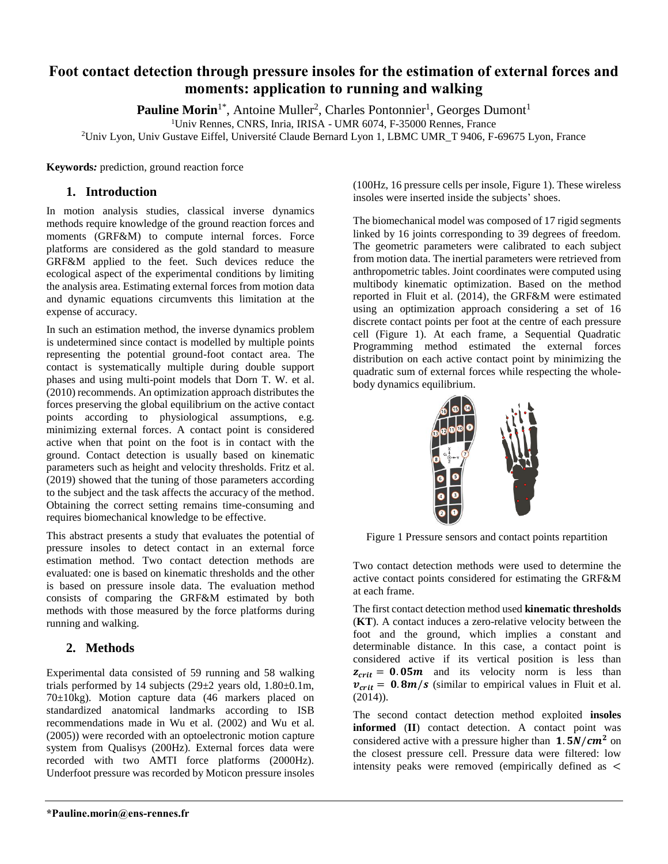## **Foot contact detection through pressure insoles for the estimation of external forces and moments: application to running and walking**

Pauline Morin<sup>1\*</sup>, Antoine Muller<sup>2</sup>, Charles Pontonnier<sup>1</sup>, Georges Dumont<sup>1</sup>

<sup>1</sup>Univ Rennes, CNRS, Inria, IRISA - UMR 6074, F-35000 Rennes, France

<sup>2</sup>Univ Lyon, Univ Gustave Eiffel, Université Claude Bernard Lyon 1, LBMC UMR\_T 9406, F-69675 Lyon, France

**Keywords***:* prediction, ground reaction force

### **1. Introduction**

In motion analysis studies, classical inverse dynamics methods require knowledge of the ground reaction forces and moments (GRF&M) to compute internal forces. Force platforms are considered as the gold standard to measure GRF&M applied to the feet. Such devices reduce the ecological aspect of the experimental conditions by limiting the analysis area. Estimating external forces from motion data and dynamic equations circumvents this limitation at the expense of accuracy.

In such an estimation method, the inverse dynamics problem is undetermined since contact is modelled by multiple points representing the potential ground-foot contact area. The contact is systematically multiple during double support phases and using multi-point models that Dorn T. W. et al. (2010) recommends. An optimization approach distributes the forces preserving the global equilibrium on the active contact points according to physiological assumptions, e.g. minimizing external forces. A contact point is considered active when that point on the foot is in contact with the ground. Contact detection is usually based on kinematic parameters such as height and velocity thresholds. Fritz et al. (2019) showed that the tuning of those parameters according to the subject and the task affects the accuracy of the method. Obtaining the correct setting remains time-consuming and requires biomechanical knowledge to be effective.

This abstract presents a study that evaluates the potential of pressure insoles to detect contact in an external force estimation method. Two contact detection methods are evaluated: one is based on kinematic thresholds and the other is based on pressure insole data. The evaluation method consists of comparing the GRF&M estimated by both methods with those measured by the force platforms during running and walking.

## **2. Methods**

Experimental data consisted of 59 running and 58 walking trials performed by 14 subjects  $(29\pm 2 \text{ years old}, 1.80\pm 0.1 \text{m})$ , 70±10kg). Motion capture data (46 markers placed on standardized anatomical landmarks according to ISB recommendations made in Wu et al. (2002) and Wu et al. (2005)) were recorded with an optoelectronic motion capture system from Qualisys (200Hz). External forces data were recorded with two AMTI force platforms (2000Hz). Underfoot pressure was recorded by Moticon pressure insoles

(100Hz, 16 pressure cells per insole, Figure 1). These wireless insoles were inserted inside the subjects' shoes.

The biomechanical model was composed of 17 rigid segments linked by 16 joints corresponding to 39 degrees of freedom. The geometric parameters were calibrated to each subject from motion data. The inertial parameters were retrieved from anthropometric tables. Joint coordinates were computed using multibody kinematic optimization. Based on the method reported in Fluit et al. (2014), the GRF&M were estimated using an optimization approach considering a set of 16 discrete contact points per foot at the centre of each pressure cell (Figure 1). At each frame, a Sequential Quadratic Programming method estimated the external forces distribution on each active contact point by minimizing the quadratic sum of external forces while respecting the wholebody dynamics equilibrium.



Figure 1 Pressure sensors and contact points repartition

Two contact detection methods were used to determine the active contact points considered for estimating the GRF&M at each frame.

The first contact detection method used **kinematic thresholds** (**KT**). A contact induces a zero-relative velocity between the foot and the ground, which implies a constant and determinable distance. In this case, a contact point is considered active if its vertical position is less than  $z_{crit} = 0.05m$  and its velocity norm is less than  $v_{crit} = 0.8m/s$  (similar to empirical values in Fluit et al.  $(2014)$ ).

The second contact detection method exploited **insoles informed** (**II**) contact detection. A contact point was considered active with a pressure higher than  $1.5N/cm^2$  on the closest pressure cell. Pressure data were filtered: low intensity peaks were removed (empirically defined as <